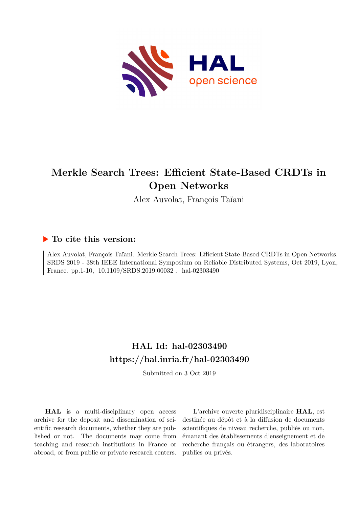

# **Merkle Search Trees: Efficient State-Based CRDTs in Open Networks**

Alex Auvolat, François Taïani

# **To cite this version:**

Alex Auvolat, François Taïani. Merkle Search Trees: Efficient State-Based CRDTs in Open Networks. SRDS 2019 - 38th IEEE International Symposium on Reliable Distributed Systems, Oct 2019, Lyon, France. pp.1-10,  $10.1109/SRDS.2019.00032$ . hal-02303490

# **HAL Id: hal-02303490 <https://hal.inria.fr/hal-02303490>**

Submitted on 3 Oct 2019

**HAL** is a multi-disciplinary open access archive for the deposit and dissemination of scientific research documents, whether they are published or not. The documents may come from teaching and research institutions in France or abroad, or from public or private research centers.

L'archive ouverte pluridisciplinaire **HAL**, est destinée au dépôt et à la diffusion de documents scientifiques de niveau recherche, publiés ou non, émanant des établissements d'enseignement et de recherche français ou étrangers, des laboratoires publics ou privés.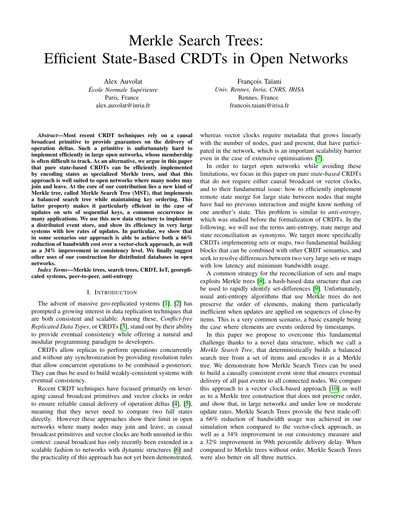# Merkle Search Trees: Efficient State-Based CRDTs in Open Networks

Alex Auvolat  $École Normale\,$ Paris, France alex.auvolat@inria.fr

François Taïani *Univ. Rennes, Inria, CNRS, IRISA* Rennes, France francois.taiani@irisa.fr

*Abstract*—Most recent CRDT techniques rely on a causal broadcast primitive to provide guarantees on the delivery of operation deltas. Such a primitive is unfortunately hard to implement efficiently in large open networks, whose membership is often difficult to track. As an alternative, we argue in this paper that pure state-based CRDTs can be efficiently implemented by encoding states as specialized Merkle trees, and that this approach is well suited to open networks where many nodes may join and leave. At the core of our contribution lies a new kind of Merkle tree, called Merkle Search Tree (MST), that implements a balanced search tree while maintaining key ordering. This latter property makes it particularly efficient in the case of updates on sets of sequential keys, a common occurrence in many applications. We use this new data structure to implement a distributed event store, and show its efficiency in very large systems with low rates of updates. In particular, we show that in some scenarios our approach is able to achieve both a 66% reduction of bandwidth cost over a vector-clock approach, as well as a 34% improvement in consistency level. We finally suggest other uses of our construction for distributed databases in open networks.

*Index Terms*—Merkle trees, search trees, CRDT, IoT, georeplicated systems, peer-to-peer, anti-entropy

#### I. INTRODUCTION

The advent of massive geo-replicated systems [1], [2] has prompted a growing interest in data replication techniques that are both consistent and scalable. Among these, *Conflict-free Replicated Data Types*, or CRDTs [3], stand out by their ability to provide eventual consistency while offering a natural and modular programming paradigm to developers.

CRDTs allow replicas to perform operations concurrently and without any synchronization by providing resolution rules that allow concurrent operations to be combined a-posteriori. They can thus be used to build weakly-consistent systems with eventual consistency.

Recent CRDT techniques have focused primarily on leveraging causal broadcast primitives and vector clocks in order to ensure reliable causal delivery of operation deltas [4], [5], meaning that they never need to compare two full states directly. However these approaches show their limit in open networks where many nodes may join and leave, as causal broadcast primitives and vector clocks are both unsuited in this context: causal broadcast has only recently been extended in a scalable fashion to networks with dynamic structures [6] and the practicality of this approach has not yet been demonstrated,

whereas vector clocks require metadata that grows linearly with the number of nodes, past and present, that have participated in the network, which is an important scalability barrier even in the case of extensive optimisations [7].

In order to target open networks while avoiding these limitations, we focus in this paper on pure *state-based* CRDTs that do not require either causal broadcast or vector clocks, and to their fundamental issue: how to efficiently implement remote state merge for large state between nodes that might have had no previous interaction and might know nothing of one another's state. This problem is similar to *anti-entropy*, which was studied before the formalization of CRDTs. In the following, we will use the terms anti-entropy, state merge and state reconciliation as synonyms. We target more specifically CRDTs implementing sets or maps, two fundamental building blocks that can be combined with other CRDT semantics, and seek to resolve differences between two very large sets or maps with low latency and minimum bandwidth usage.

A common strategy for the reconciliation of sets and maps exploits Merkle trees [8], a hash-based data structure that can be used to rapidly identify set-differences [9]. Unfortunately, usual anti-entropy algorithms that use Merkle trees do not preserve the order of elements, making them particularly inefficient when updates are applied on sequences of close-by items. This is a very common scenario, a basic example being the case where elements are events ordered by timestamps.

In this paper we propose to overcome this fundamental challenge thanks to a novel data structure, which we call a *Merkle Search Tree*, that deterministically builds a balanced search tree from a set of items and encodes it as a Merkle tree. We demonstrate how Merkle Search Trees can be used to build a causally consistent event store that ensures eventual delivery of all past events to all connected nodes. We compare this approach to a vector clock-based approach [10] as well as to a Merkle tree construction that does not preserve order, and show that, in large networks and under low or moderate update rates, Merkle Search Trees provide the best trade-off: a 66% reduction of bandwidth usage was achieved in our simulation when compared to the vector-clock approach, as well as a 34% improvement in our consistency measure and a 32% improvement in 99th percentile delivery delay. When compared to Merkle trees without order, Merkle Search Trees were also better on all three metrics.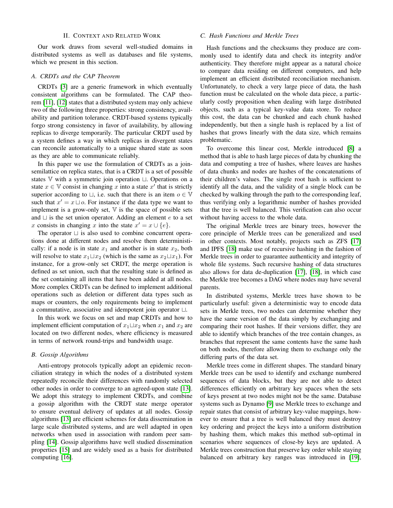# II. CONTEXT AND RELATED WORK

Our work draws from several well-studied domains in distributed systems as well as databases and file systems, which we present in this section.

# *A. CRDTs and the CAP Theorem*

CRDTs [3] are a generic framework in which eventually consistent algorithms can be formulated. The CAP theorem [11], [12] states that a distributed system may only achieve two of the following three properties: strong consistency, availability and partition tolerance. CRDT-based systems typically forgo strong consistency in favor of availability, by allowing replicas to diverge temporarily. The particular CRDT used by a system defines a way in which replicas in divergent states can reconcile automatically to a unique shared state as soon as they are able to communicate reliably.

In this paper we use the formulation of CRDTs as a joinsemilattice on replica states, that is a CRDT is a set of possible states  $V$  with a symmetric join operation  $\sqcup$ . Operations on a state  $x \in V$  consist in changing x into a state  $x'$  that is strictly superior according to  $\sqcup$ , i.e. such that there is an item  $o \in \mathbb{V}$ such that  $x' = x \sqcup o$ . For instance if the data type we want to implement is a grow-only set,  $\nabla$  is the space of possible sets and  $\sqcup$  is the set union operator. Adding an element e to a set x consists in changing x into the state  $x' = x \cup \{e\}.$ 

The operator  $\sqcup$  is also used to combine concurrent operations done at different nodes and resolve them deterministically: if a node is in state  $x_1$  and another is in state  $x_2$ , both will resolve to state  $x_1 \sqcup x_2$  (which is the same as  $x_2 \sqcup x_1$ ). For instance, for a grow-only set CRDT, the merge operation is defined as set union, such that the resulting state is defined as the set containing all items that have been added at all nodes. More complex CRDTs can be defined to implement additional operations such as deletion or different data types such as maps or counters, the only requirements being to implement a commutative, associative and idempotent join operator  $\sqcup$ .

In this work we focus on set and map CRDTs and how to implement efficient computation of  $x_1 \sqcup x_2$  when  $x_1$  and  $x_2$  are located on two different nodes, where efficiency is measured in terms of network round-trips and bandwidth usage.

#### *B. Gossip Algorithms*

Anti-entropy protocols typically adopt an epidemic reconciliation strategy in which the nodes of a distributed system repeatedly reconcile their differences with randomly selected other nodes in order to converge to an agreed-upon state [13]. We adopt this strategy to implement CRDTs, and combine a gossip algorithm with the CRDT state merge operator to ensure eventual delivery of updates at all nodes. Gossip algorithms [13] are efficient schemes for data dissemination in large scale distributed systems, and are well adapted in open networks when used in association with random peer sampling [14]. Gossip algorithms have well studied dissemination properties [15] and are widely used as a basis for distributed computing [16].

# *C. Hash Functions and Merkle Trees*

Hash functions and the checksums they produce are commonly used to identify data and check its integrity and/or authenticity. They therefore might appear as a natural choice to compare data residing on different computers, and help implement an efficient distributed reconciliation mechanism. Unfortunately, to check a very large piece of data, the hash function must be calculated on the whole data piece, a particularly costly proposition when dealing with large distributed objects, such as a typical key-value data store. To reduce this cost, the data can be chunked and each chunk hashed independently, but then a single hash is replaced by a list of hashes that grows linearly with the data size, which remains problematic.

To overcome this linear cost, Merkle introduced [8] a method that is able to hash large pieces of data by chunking the data and computing a tree of hashes, where leaves are hashes of data chunks and nodes are hashes of the concatenations of their children's values. The single root hash is sufficient to identify all the data, and the validity of a single block can be checked by walking through the path to the corresponding leaf, thus verifying only a logarithmic number of hashes provided that the tree is well balanced. This verification can also occur without having access to the whole data.

The original Merkle trees are binary trees, however the core principle of Merkle trees can be generalized and used in other contexts. Most notably, projects such as ZFS [17] and IPFS [18] make use of recursive hashing in the fashion of Merkle trees in order to guarantee authenticity and integrity of whole file systems. Such recursive hashing of data structures also allows for data de-duplication [17], [18], in which case the Merkle tree becomes a DAG where nodes may have several parents.

In distributed systems, Merkle trees have shown to be particularly useful: given a deterministic way to encode data sets in Merkle trees, two nodes can determine whether they have the same version of the data simply by exchanging and comparing their root hashes. If their versions differ, they are able to identify which branches of the tree contain changes, as branches that represent the same contents have the same hash on both nodes, therefore allowing them to exchange only the differing parts of the data set.

Merkle trees come in different shapes. The standard binary Merkle trees can be used to identify and exchange numbered sequences of data blocks, but they are not able to detect differences efficiently on arbitrary key spaces when the sets of keys present at two nodes might not be the same. Database systems such as Dynamo [9] use Merkle trees to exchange and repair states that consist of arbitrary key-value mappings, however to ensure that a tree is well balanced they must destroy key ordering and project the keys into a uniform distribution by hashing them, which makes this method sub-optimal in scenarios where sequences of close-by keys are updated. A Merkle trees construction that preserve key order while staying balanced on arbitrary key ranges was introduced in [19],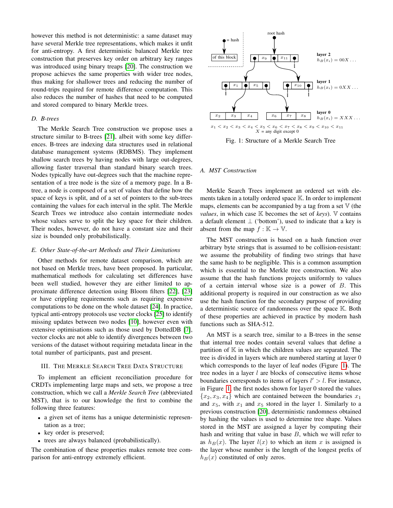however this method is not deterministic: a same dataset may have several Merkle tree representations, which makes it unfit for anti-entropy. A first deterministic balanced Merkle tree construction that preserves key order on arbitrary key ranges was introduced using binary treaps [20]. The construction we propose achieves the same properties with wider tree nodes, thus making for shallower trees and reducing the number of round-trips required for remote difference computation. This also reduces the number of hashes that need to be computed and stored compared to binary Merkle trees.

#### *D. B-trees*

The Merkle Search Tree construction we propose uses a structure similar to B-trees [21], albeit with some key differences. B-trees are indexing data structures used in relational database management systems (RDBMS). They implement shallow search trees by having nodes with large out-degrees, allowing faster traversal than standard binary search trees. Nodes typically have out-degrees such that the machine representation of a tree node is the size of a memory page. In a Btree, a node is composed of a set of values that define how the space of keys is split, and of a set of pointers to the sub-trees containing the values for each interval in the split. The Merkle Search Trees we introduce also contain intermediate nodes whose values serve to split the key space for their children. Their nodes, however, do not have a constant size and their size is bounded only probabilistically.

# *E. Other State-of-the-art Methods and Their Limitations*

Other methods for remote dataset comparison, which are not based on Merkle trees, have been proposed. In particular, mathematical methods for calculating set differences have been well studied, however they are either limited to approximate difference detection using Bloom filters [22], [23] or have crippling requirements such as requiring expensive computations to be done on the whole dataset [24]. In practice, typical anti-entropy protocols use vector clocks [25] to identify missing updates between two nodes [10], however even with extensive optimisations such as those used by DottedDB [7], vector clocks are not able to identify divergences between two versions of the dataset without requiring metadata linear in the total number of participants, past and present.

# III. THE MERKLE SEARCH TREE DATA STRUCTURE

To implement an efficient reconciliation procedure for CRDTs implementing large maps and sets, we propose a tree construction, which we call a *Merkle Search Tree* (abbreviated MST), that is to our knowledge the first to combine the following three features:

- a given set of items has a unique deterministic representation as a tree;
- key order is preserved;
- trees are always balanced (probabilistically).

The combination of these properties makes remote tree comparison for anti-entropy extremely efficient.



Fig. 1: Structure of a Merkle Search Tree

#### *A. MST Construction*

Merkle Search Trees implement an ordered set with elements taken in a totally ordered space K. In order to implement maps, elements can be accompanied by a tag from a set  $V$  (the *values*, in which case  $K$  becomes the set of *keys*).  $V$  contains a default element  $\perp$  ('bottom'), used to indicate that a key is absent from the map  $f : \mathbb{K} \to \mathbb{V}$ .

The MST construction is based on a hash function over arbitrary byte strings that is assumed to be collision-resistant: we assume the probability of finding two strings that have the same hash to be negligible. This is a common assumption which is essential to the Merkle tree construction. We also assume that the hash functions projects uniformly to values of a certain interval whose size is a power of B. This additional property is required in our construction as we also use the hash function for the secondary purpose of providing a deterministic source of randomness over the space K. Both of these properties are achieved in practice by modern hash functions such as SHA-512.

An MST is a search tree, similar to a B-trees in the sense that internal tree nodes contain several values that define a partition of  $K$  in which the children values are separated. The tree is divided in layers which are numbered starting at layer 0 which corresponds to the layer of leaf nodes (Figure 1). The tree nodes in a layer  $l$  are blocks of consecutive items whose boundaries corresponds to items of layers  $l' > l$ . For instance, in Figure 1, the first nodes shown for layer 0 stored the values  ${x_2, x_3, x_4}$  which are contained between the boundaries  $x_1$ and  $x_5$ , with  $x_1$  and  $x_5$  stored in the layer 1. Similarly to a previous construction [20], deterministic randomness obtained by hashing the values is used to determine tree shape. Values stored in the MST are assigned a layer by computing their hash and writing that value in base  $B$ , which we will refer to as  $h_B(x)$ . The layer  $l(x)$  to which an item x is assigned is the layer whose number is the length of the longest prefix of  $h_B(x)$  constituted of only zeros.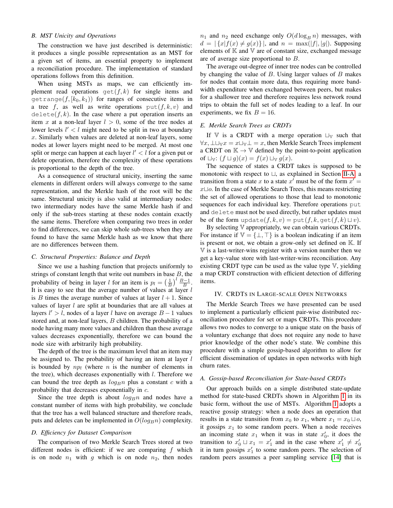# *B. MST Unicity and Operations*

The construction we have just described is deterministic: it produces a single possible representation as an MST for a given set of items, an essential property to implement a reconciliation procedure. The implementation of standard operations follows from this definition.

When using MSTs as maps, we can efficiently implement read operations  $\det(f, k)$  for single items and getrange $(f, [k_0, k_1))$  for ranges of consecutive items in a tree f, as well as write operations  $put(f, k, v)$  and delete $(f, k)$ . In the case where a put operation inserts an item x at a non-leaf layer  $l > 0$ , some of the tree nodes at lower levels  $l' < l$  might need to be split in two at boundary  $x$ . Similarly when values are deleted at non-leaf layers, some nodes at lower layers might need to be merged. At most one split or merge can happen at each layer  $l' < l$  for a given put or delete operation, therefore the complexity of these operations is proportional to the depth of the tree.

As a consequence of structural unicity, inserting the same elements in different orders will always converge to the same representation, and the Merkle hash of the root will be the same. Structural unicity is also valid at intermediary nodes: two intermediary nodes have the same Merkle hash if and only if the sub-trees starting at these nodes contain exactly the same items. Therefore when comparing two trees in order to find differences, we can skip whole sub-trees when they are found to have the same Merkle hash as we know that there are no differences between them.

# *C. Structural Properties: Balance and Depth*

Since we use a hashing function that projects uniformly to strings of constant length that write out numbers in base  $B$ , the probability of being in layer l for an item is  $p_l = \left(\frac{1}{B}\right)^l \frac{B-1}{B}$ . It is easy to see that the average number of values at layer  $l$ is B times the average number of values at layer  $l + 1$ . Since values of layer  $l$  are split at boundaries that are all values at layers  $l' > l$ , nodes of a layer l have on average  $B - 1$  values stored and, at non-leaf layers, B children. The probability of a node having many more values and children than these average values decreases exponentially, therefore we can bound the node size with arbitrarily high probability.

The depth of the tree is the maximum level that an item may be assigned to. The probability of having an item at layer  $l$ is bounded by  $np_l$  (where n is the number of elements in the tree), which decreases exponentially with  $l$ . Therefore we can bound the tree depth as  $log_B n$  plus a constant c with a probability that decreases exponentially in c.

Since the tree depth is about  $log_B n$  and nodes have a constant number of items with high probability, we conclude that the tree has a well balanced structure and therefore reads, puts and deletes can be implemented in  $O(log_B n)$  complexity.

#### *D. Efficiency for Dataset Comparison*

The comparison of two Merkle Search Trees stored at two different nodes is efficient: if we are comparing  $f$  which is on node  $n_1$  with g which is on node  $n_2$ , then nodes  $n_1$  and  $n_2$  need exchange only  $O(d \log_B n)$  messages, with  $d = |\{x|f(x) \neq g(x)\}|$ , and  $n = \max(|f|, |g|)$ . Supposing elements of  $K$  and  $V$  are of constant size, exchanged message are of average size proportional to B.

The average out-degree of inner tree nodes can be controlled by changing the value of  $B$ . Using larger values of  $B$  makes for nodes that contain more data, thus requiring more bandwidth expenditure when exchanged between peers, but makes for a shallower tree and therefore requires less network round trips to obtain the full set of nodes leading to a leaf. In our experiments, we fix  $B = 16$ .

# *E. Merkle Search Trees as CRDTs*

If V is a CRDT with a merge operation  $\Box_{V}$  such that  $\forall x, \perp \Box \forall x = x \Box \forall \perp = x$ , then Merkle Search Trees implement a CRDT on  $K \to V$  defined by the point-to-point application of  $\Box_{\mathbb{V}}: (f \sqcup g)(x) = f(x) \sqcup_{\mathbb{V}} g(x).$ 

The sequence of states a CRDT takes is supposed to be monotonic with respect to  $\sqcup$ , as explained in Section II-A: a transition from a state x to a state  $x'$  must be of the form  $x' =$  $x \sqcup o$ . In the case of Merkle Search Trees, this means restricting the set of allowed operations to those that lead to monotonic sequences for each individual key. Therefore operations put and delete must not be used directly, but rather updates must be of the form update  $(f, k, v) = \text{put}(f, k, \text{get}(f, k) \sqcup v)$ .

By selecting V appropriately, we can obtain various CRDTs. For instance if  $\mathbb{V} = {\{\perp, \top\}}$  is a boolean indicating if an item is present or not, we obtain a grow-only set defined on K. If  $V$  is a last-writer-wins register with a version number then we get a key-value store with last-writer-wins reconciliation. Any existing CRDT type can be used as the value type  $V$ , yielding a map CRDT construction with efficient detection of differing items.

## IV. CRDTS IN LARGE-SCALE OPEN NETWORKS

The Merkle Search Trees we have presented can be used to implement a particularly efficient pair-wise distributed reconciliation procedure for set or maps CRDTs. This procedure allows two nodes to converge to a unique state on the basis of a voluntary exchange that does not require any node to have prior knowledge of the other node's state. We combine this procedure with a simple gossip-based algorithm to allow for efficient dissemination of updates in open networks with high churn rates.

#### *A. Gossip-based Reconciliation for State-based CRDTs*

Our approach builds on a simple distributed state-update method for state-based CRDTs shown in Algorithm 1 in its basic form, without the use of MSTs. Algorithm 1 adopts a reactive gossip strategy: when a node does an operation that results in a state transition from  $x_0$  to  $x_1$ , where  $x_1 = x_0 \sqcup o$ , it gossips  $x_1$  to some random peers. When a node receives an incoming state  $x_1$  when it was in state  $x'_0$ , it does the transition to  $x'_0 \sqcup x_1 = x'_1$  and in the case where  $x'_1 \neq x'_0$ it in turn gossips  $x_1'$  to some random peers. The selection of random peers assumes a peer sampling service [14] that is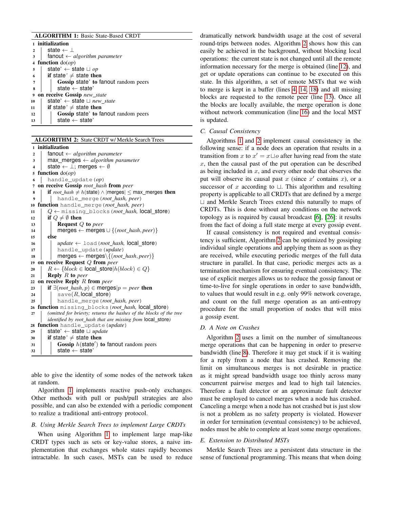# ALGORITHM 1: Basic State-Based CRDT

|                         | 1 initialization                             |
|-------------------------|----------------------------------------------|
| $\mathbf{2}$            | state $\leftarrow \perp$                     |
| $\overline{\mathbf{3}}$ | fanout $\leftarrow$ algorithm parameter      |
| 4                       | <b>function</b> $do(op)$                     |
| 5                       | state' $\leftarrow$ state $\sqcup op$        |
| 6                       | if state' $\neq$ state then                  |
| $\overline{7}$          | Gossip state' to fanout random peers         |
| $\bf{8}$                | state $\leftarrow$ state'                    |
| 9                       | on receive Gossip new state                  |
| 10                      | state' $\leftarrow$ state $\sqcup$ new state |
| 11                      | if state $\neq$ state then                   |
| 12                      | Gossip state' to fanout random peers         |
| 13                      | state $\leftarrow$ state'                    |

# ALGORITHM 2: State CRDT w/ Merkle Search Trees

#### <sup>1</sup> initialization

```
2 fanout ← algorithm parameter
 \text{3} max_merges \leftarrow algorithm parameter
 4 State \leftarrow \perp; merges \leftarrow \emptyset5 function do(op)
 6 handle_update(op)
7 on receive Gossip root hash from peer
 8 if root\_hash \neq h(\text{state}) \land |merges| \leq max\_merges then
 9 handle_merge(root hash, peer)
10 function handle_merge(root hash, peer)
11 Q \leftarrow missing_blocks(root_hash, local_store)
12 if Q \neq \emptyset then
13 | Request Q to peer
14 | merges ← merges \cup \{ (root\_hash, peer) \}15 else
16 \vert update \leftarrow load (root_hash, local store)
17 handle_update(update)
18 | merges \leftarrow merges\{(root\_hash,peer)\}19 on receive Request Q from peer
20 \mid R \leftarrow \{block \in \text{local store}| h(block) \in Q \}21 Reply R to peer
22 on receive Reply R from peer
23 if \exists (root\_hash, p) \in merges | p = peer then
24 | save(R, local store)
25 handle_merge(root hash, peer)
26 function missing_blocks(root hash, local store)
27 (omitted for brievty; returns the hashes of the blocks of the tree
       identified by root_hash that are missing from local\_store)28 function handle_update(update)
29 State' \leftarrow state \sqcup update
30 if state \neq state then
31 | Gossip h(\text{state}') to fanout random peers
32 \mid \cdot \cdot \cdot \cdot state \leftarrow state
```
able to give the identity of some nodes of the network taken at random.

Algorithm 1 implements reactive push-only exchanges. Other methods with pull or push/pull strategies are also possible, and can also be extended with a periodic component to realize a traditional anti-entropy protocol.

#### *B. Using Merkle Search Trees to implement Large CRDTs*

When using Algorithm 1 to implement large map-like CRDT types such as sets or key-value stores, a naive implementation that exchanges whole states rapidly becomes intractable. In such cases, MSTs can be used to reduce dramatically network bandwidth usage at the cost of several round-trips between nodes. Algorithm 2 shows how this can easily be achieved in the background, without blocking local operations: the current state is not changed until all the remote information necessary for the merge is obtained (line 12), and get or update operations can continue to be executed on this state. In this algorithm, a set of remote MSTs that we wish to merge is kept in a buffer (lines 4, 14, 18) and all missing blocks are requested to the remote peer (line 13). Once all the blocks are locally available, the merge operation is done without network communication (line 16) and the local MST is updated.

## *C. Causal Consistency*

Algorithms 1 and 2 implement causal consistency in the following sense: if a node does an operation that results in a transition from x to  $x' = x \sqcup o$  after having read from the state  $x$ , then the causal past of the put operation can be described as being included in  $x$ , and every other node that observes the put will observe its causal past  $x$  (since  $x'$  contains  $x$ ), or a successor of x according to  $\sqcup$ . This algorithm and resulting property is applicable to all CRDTs that are defined by a merge  $\sqcup$  and Merkle Search Trees extend this naturally to maps of CRDTs. This is done without any conditions on the network topology as is required by causal broadcast [6], [26]: it results from the fact of doing a full state merge at every gossip event.

If causal consistency is not required and eventual consistency is sufficient, Algorithm 2 can be optimized by gossiping individual single operations and applying them as soon as they are received, while executing periodic merges of the full data structure in parallel. In that case, periodic merges acts as a termination mechanism for ensuring eventual consistency. The use of explicit merges allows us to reduce the gossip fanout or time-to-live for single operations in order to save bandwidth, to values that would result in e.g. only 99% network coverage, and count on the full merge operation as an anti-entropy procedure for the small proportion of nodes that will miss a gossip event.

#### *D. A Note on Crashes*

Algorithm 2 uses a limit on the number of simultaneous merge operations that can be happening in order to preserve bandwidth (line 8). Therefore it may get stuck if it is waiting for a reply from a node that has crashed. Removing the limit on simultaneous merges is not desirable in practice as it might spread bandwidth usage too thinly across many concurrent pairwise merges and lead to high tail latencies. Therefore a fault detector or an approximate fault detector must be employed to cancel merges when a node has crashed. Canceling a merge when a node has not crashed but is just slow is not a problem as no safety property is violated. However in order for termination (eventual consistency) to be achieved, nodes must be able to complete at least some merge operations.

# *E. Extension to Distributed MSTs*

Merkle Search Trees are a persistent data structure in the sense of functional programming. This means that when doing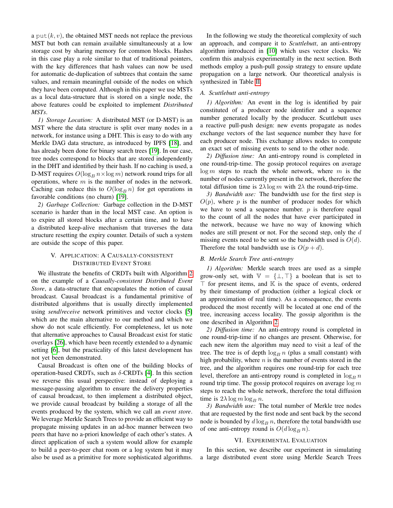a put  $(k, v)$ , the obtained MST needs not replace the previous MST but both can remain available simultaneously at a low storage cost by sharing memory for common blocks. Hashes in this case play a role similar to that of traditional pointers, with the key differences that hash values can now be used for automatic de-duplication of subtrees that contain the same values, and remain meaningful outside of the nodes on which they have been computed. Although in this paper we use MSTs as a local data-structure that is stored on a single node, the above features could be exploited to implement *Distributed MSTs*.

*1) Storage Location:* A distributed MST (or D-MST) is an MST where the data structure is split over many nodes in a network, for instance using a DHT. This is easy to do with any Merkle DAG data structure, as introduced by IPFS [18], and has already been done for binary search trees [19]. In our case, tree nodes correspond to blocks that are stored independently in the DHT and identified by their hash. If no caching is used, a D-MST requires  $O(\log_B n \times \log m)$  network round trips for all operations, where  $m$  is the number of nodes in the network. Caching can reduce this to  $O(\log_B n)$  for get operations in favorable conditions (no churn) [19].

*2) Garbage Collection:* Garbage collection in the D-MST scenario is harder than in the local MST case. An option is to expire all stored blocks after a certain time, and to have a distributed keep-alive mechanism that traverses the data structure resetting the expiry counter. Details of such a system are outside the scope of this paper.

# V. APPLICATION: A CAUSALLY-CONSISTENT DISTRIBUTED EVENT STORE

We illustrate the benefits of CRDTs built with Algorithm 2 on the example of a *Causally-consistent Distributed Event Store*, a data-structure that encapsulates the notion of causal broadcast. Causal broadcast is a fundamental primitive of distributed algorithms that is usually directly implemented using *send*/*receive* network primitives and vector clocks [5] which are the main alternative to our method and which we show do not scale efficiently. For completeness, let us note that alternative approaches to Causal Broadcast exist for static overlays [26], which have been recently extended to a dynamic setting [6], but the practicality of this latest development has not yet been demonstrated.

Causal Broadcast is often one of the building blocks of operation-based CRDTs, such as  $\delta$ -CRDTs [4]. In this section we reverse this usual perspective: instead of deploying a message-passing algorithm to ensure the delivery properties of causal broadcast, to then implement a distributed object, we provide causal broadcast by building a storage of all the events produced by the system, which we call an *event store*. We leverage Merkle Search Trees to provide an efficient way to propagate missing updates in an ad-hoc manner between two peers that have no a-priori knowledge of each other's states. A direct application of such a system would allow for example to build a peer-to-peer chat room or a log system but it may also be used as a primitive for more sophisticated algorithms.

In the following we study the theoretical complexity of such an approach, and compare it to *Scuttlebutt*, an anti-entropy algorithm introduced in [10] which uses vector clocks. We confirm this analysis experimentally in the next section. Both methods employ a push-pull gossip strategy to ensure update propagation on a large network. Our theoretical analysis is synthesized in Table II.

# *A. Scuttlebutt anti-entropy*

*1) Algorithm:* An event in the log is identified by pair constituted of a producer node identifier and a sequence number generated locally by the producer. Scuttlebutt uses a reactive pull-push design: new events propagate as nodes exchange vectors of the last sequence number they have for each producer node. This exchange allows nodes to compute an exact set of missing events to send to the other node.

*2) Diffusion time:* An anti-entropy round is completed in one round-trip-time. The gossip protocol requires on average  $\log m$  steps to reach the whole network, where m is the number of nodes currently present in the network, therefore the total diffusion time is  $2\lambda \log m$  with  $2\lambda$  the round-trip-time.

*3) Bandwidth use:* The bandwidth use for the first step is  $O(p)$ , where p is the number of producer nodes for which we have to send a sequence number.  $p$  is therefore equal to the count of all the nodes that have ever participated in the network, because we have no way of knowing which nodes are still present or not. For the second step, only the d missing events need to be sent so the bandwidth used is  $O(d)$ . Therefore the total bandwidth use is  $O(p+d)$ .

# *B. Merkle Search Tree anti-entropy*

*1) Algorithm:* Merkle search trees are used as a simple grow-only set, with  $\mathbb{V} = {\{\perp, \top\}}$  a boolean that is set to  $\top$  for present items, and  $\mathbb K$  is the space of events, ordered by their timestamp of production (either a logical clock or an approximation of real time). As a consequence, the events produced the most recently will be located at one end of the tree, increasing access locality. The gossip algorithm is the one described in Algorithm 2.

*2) Diffusion time:* An anti-entropy round is completed in one round-trip-time if no changes are present. Otherwise, for each new item the algorithm may need to visit a leaf of the tree. The tree is of depth  $\log_B n$  (plus a small constant) with high probability, where  $n$  is the number of events stored in the tree, and the algorithm requires one round-trip for each tree level, therefore an anti-entropy round is completed in  $\log_B n$ round trip time. The gossip protocol requires on average  $\log m$ steps to reach the whole network, therefore the total diffusion time is  $2\lambda \log m \log_B n$ .

*3) Bandwidth use:* The total number of Merkle tree nodes that are requested by the first node and sent back by the second node is bounded by  $d \log_B n$ , therefore the total bandwidth use of one anti-entropy round is  $O(d \log_B n)$ .

# VI. EXPERIMENTAL EVALUATION

In this section, we describe our experiment in simulating a large distributed event store using Merkle Search Trees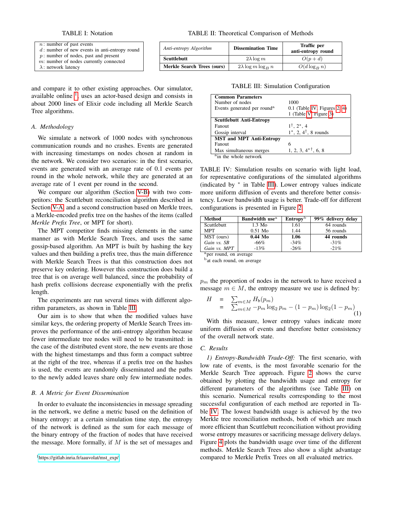#### TABLE I: Notation

 $n:$  number of past events

- $d$ : number of new events in anti-entropy round
- $p$ : number of nodes, past and present m: number of nodes currently connected

 $\lambda$ : network latency

and compare it to other existing approaches. Our simulator, available online  $<sup>1</sup>$ , uses an actor-based design and consists in</sup> about 2000 lines of Elixir code including all Merkle Search Tree algorithms.

# *A. Methodology*

We simulate a network of 1000 nodes with synchronous communication rounds and no crashes. Events are generated with increasing timestamps on nodes chosen at random in the network. We consider two scenarios: in the first scenario, events are generated with an average rate of 0.1 events per round in the whole network, while they are generated at an average rate of 1 event per round in the second.

We compare our algorithm (Section V-B) with two competitors: the Scuttlebutt reconciliation algorithm described in Section V-A, and a second construction based on Merkle trees, a Merkle-encoded prefix tree on the hashes of the items (called *Merkle Prefix Tree*, or MPT for short).

The MPT competitor finds missing elements in the same manner as with Merkle Search Trees, and uses the same gossip-based algorithm. An MPT is built by hashing the key values and then building a prefix tree, thus the main difference with Merkle Search Trees is that this construction does not preserve key ordering. However this construction does build a tree that is on average well balanced, since the probability of hash prefix collisions decrease exponentially with the prefix length.

The experiments are run several times with different algorithm parameters, as shown in Table III.

Our aim is to show that when the modified values have similar keys, the ordering property of Merkle Search Trees improves the performance of the anti-entropy algorithm because fewer intermediate tree nodes will need to be transmitted: in the case of the distributed event store, the new events are those with the highest timestamps and thus form a compact subtree at the right of the tree, whereas if a prefix tree on the hashes is used, the events are randomly disseminated and the paths to the newly added leaves share only few intermediate nodes.

# *B. A Metric for Event Dissemination*

In order to evaluate the inconsistencies in message spreading in the network, we define a metric based on the definition of binary entropy: at a certain simulation time step, the entropy of the network is defined as the sum for each message of the binary entropy of the fraction of nodes that have received the message. More formally, if  $M$  is the set of messages and

TABLE II: Theoretical Comparison of Methods

| Anti-entropy Algorithm            | <b>Dissemination Time</b>  | Traffic per<br>anti-entropy round |
|-----------------------------------|----------------------------|-----------------------------------|
| <b>Scuttlebutt</b>                | $2\lambda \log m$          | $O(p+d)$                          |
| <b>Merkle Search Trees (ours)</b> | $2\lambda \log m \log_B n$ | $O(d \log_R n)$                   |

|  |  | <b>TABLE III: Simulation Configuration</b> |
|--|--|--------------------------------------------|
|--|--|--------------------------------------------|

| <b>Common Parameters</b>                |                                     |
|-----------------------------------------|-------------------------------------|
| Number of nodes                         | 1000                                |
| Events generated per round <sup>a</sup> | $0.1$ (Table IV, Figures 2, 4)      |
|                                         | 1 (Table V, Figure 3)               |
| <b>Scuttlebutt Anti-Entropy</b>         |                                     |
| Fanout                                  | $1^{\dagger}, 2^{\ast}, 4$          |
| Gossip interval                         | $1^*$ , 2, $4^{\dagger}$ , 8 rounds |
| <b>MST</b> and MPT Anti-Entropy         |                                     |
| Fanout                                  | 6                                   |
| Max simultaneous merges                 | $1, 2, 3, 4^{* \dagger}, 6, 8$      |
| <sup>a</sup> in the whole network       |                                     |

TABLE IV: Simulation results on scenario with light load, for representative configurations of the simulated algorithms (indicated by <sup>∗</sup> in Table III). Lower entropy values indicate more uniform diffusion of events and therefore better consistency. Lower bandwidth usage is better. Trade-off for different configurations is presented in Figure 2.

| Method                             | Bandwidth use <sup>a</sup> | Entropy <sup>b</sup> | 99% delivery delay |
|------------------------------------|----------------------------|----------------------|--------------------|
| Scuttlebutt                        | $1.3 \text{ Mo}$           | 1.61                 | 64 rounds          |
| <b>MPT</b>                         | $0.51$ Mo                  | 1.44                 | 56 rounds          |
| MST (ours)                         | $0.44$ Mo                  | 1.06                 | 44 rounds          |
| Gain vs. SB                        | $-66\%$                    | $-34%$               | $-31%$             |
| Gain vs. MPT                       | $-13%$                     | $-26%$               | $-21%$             |
| <sup>a</sup> per round, on average |                            |                      |                    |

 $\overrightarrow{b}$ at each round, on average

 $p<sub>m</sub>$  the proportion of nodes in the network to have received a message  $m \in M$ , the entropy measure we use is defined by:

$$
H = \sum_{m \in M} H_b(p_m)
$$
  
=  $\sum_{m \in M} -p_m \log_2 p_m - (1 - p_m) \log_2 (1 - p_m)$  (1)

With this measure, lower entropy values indicate more uniform diffusion of events and therefore better consistency of the overall network state.

# *C. Results*

*1) Entropy-Bandwidth Trade-Off:* The first scenario, with low rate of events, is the most favorable scenario for the Merkle Search Tree approach. Figure 2 shows the curve obtained by plotting the bandwidth usage and entropy for different parameters of the algorithms (see Table III) on this scenario. Numerical results corresponding to the most successful configuration of each method are reported in Table IV. The lowest bandwidth usage is achieved by the two Merkle tree reconciliation methods, both of which are much more efficient than Scuttlebutt reconciliation without providing worse entropy measures or sacrificing message delivery delays. Figure 4 plots the bandwidth usage over time of the different methods. Merkle Search Trees also show a slight advantage compared to Merkle Prefix Trees on all evaluated metrics.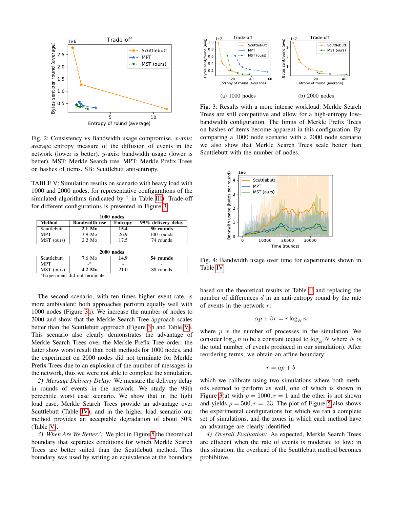

Fig. 2: Consistency vs Bandwidth usage compromise.  $x$ -axis: average entropy measure of the diffusion of events in the network (lower is better). y-axis: bandwidth usage (lower is better). MST: Merkle Search tree. MPT: Merkle Prefix Trees on hashes of items. SB: Scuttlebutt anti-entropy.

TABLE V: Simulation results on scenario with heavy load with 1000 and 2000 nodes, for representative configurations of the simulated algorithms (indicated by  $\dagger$  in Table III). Trade-off for different configurations is presented in Figure 3.

| 1000 nodes    |                      |                |                    |  |  |
|---------------|----------------------|----------------|--------------------|--|--|
| <b>Method</b> | <b>Bandwidth use</b> | <b>Entropy</b> | 99% delivery delay |  |  |
| Scuttlebutt   | $2.1$ Mo             | 15.4           | 50 rounds          |  |  |
| <b>MPT</b>    | $3.9\ \text{Mo}$     | 26.9           | 100 rounds         |  |  |
| MST (ours)    | $2.2 \text{ Mo}$     | 17.5           | 74 rounds          |  |  |
| 2000 nodes    |                      |                |                    |  |  |
| Scuttlebutt   | 7.6 Mo               | 14.9           | 54 rounds          |  |  |
| <b>MPT</b>    | a                    |                |                    |  |  |
| MST (ours)    | 4.2 Mo               | 21.0           | 88 rounds          |  |  |

<sup>a</sup>Experiment did not terminate

The second scenario, with ten times higher event rate, is more ambivalent: both approaches perform equally well with 1000 nodes (Figure 3a). We increase the number of nodes to 2000 and show that the Merkle Search Tree approach scales better than the Scuttlebutt approach (Figure 3b and Table V). This scenario also clearly demonstrates the advantage of Merkle Search Trees over the Merkle Prefix Tree order: the latter show worst result than both methods for 1000 nodes, and the experiment on 2000 nodes did not terminate for Merkle Prefix Trees due to an explosion of the number of messages in the network, thus we were not able to complete the simulation.

*2) Message Delivery Delay:* We measure the delivery delay in rounds of events in the network. We study the 99th percentile worst case scenario. We show that in the light load case, Merkle Search Trees provide an advantage over Scuttlebutt (Table IV), and in the higher load scenario our method provides an acceptable degradation of about 50% (Table V).

*3) When Are We Better?:* We plot in Figure 5 the theoretical boundary that separates conditions for which Merkle Search Trees are better suited than the Scuttlebutt method. This boundary was used by writing an equivalence at the boundary



Fig. 3: Results with a more intense workload. Merkle Search Trees are still competitive and allow for a high-entropy lowbandwidth configuration. The limits of Merkle Prefix Trees on hashes of items become apparent in this configuration. By comparing a 1000 node scenario with a 2000 node scenario we also show that Merkle Search Trees scale better than Scuttlebutt with the number of nodes.



Fig. 4: Bandwidth usage over time for experiments shown in Table IV.

based on the theoretical results of Table II and replacing the number of differences  $d$  in an anti-entropy round by the rate of events in the network  $r$ :

$$
\alpha p + \beta r = r \log_B n
$$

where  $p$  is the number of processes in the simulation. We consider  $\log_B n$  to be a constant (equal to  $\log_B N$  where N is the total number of events produced in our simulation). After reordering terms, we obtain an affine boundary:

$$
r = ap + b
$$

which we calibrate using two simulations where both methods seemed to perform as well, one of which is shown in Figure 3(a) with  $p = 1000, r = 1$  and the other is not shown and yields  $p = 500, r = .33$ . The plot of Figure 5 also shows the experimental configurations for which we ran a complete set of simulations, and the zones in which each method have an advantage are clearly identified.

*4) Overall Evaluation:* As expected, Merkle Search Trees are efficient when the rate of events is moderate to low: in this situation, the overhead of the Scuttlebutt method becomes prohibitive.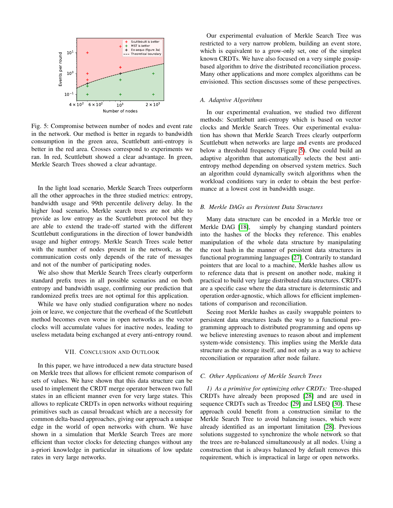

Fig. 5: Compromise between number of nodes and event rate in the network. Our method is better in regards to bandwidth consumption in the green area, Scuttlebutt anti-entropy is better in the red area. Crosses correspond to experiments we ran. In red, Scuttlebutt showed a clear advantage. In green, Merkle Search Trees showed a clear advantage.

In the light load scenario, Merkle Search Trees outperform all the other approaches in the three studied metrics: entropy, bandwidth usage and 99th percentile delivery delay. In the higher load scenario, Merkle search trees are not able to provide as low entropy as the Scuttlebutt protocol but they are able to extend the trade-off started with the different Scuttlebutt configurations in the direction of lower bandwidth usage and higher entropy. Merkle Search Trees scale better with the number of nodes present in the network, as the communication costs only depends of the rate of messages and not of the number of participating nodes.

We also show that Merkle Search Trees clearly outperform standard prefix trees in all possible scenarios and on both entropy and bandwidth usage, confirming our prediction that randomized prefix trees are not optimal for this application.

While we have only studied configuration where no nodes join or leave, we conjecture that the overhead of the Scuttlebutt method becomes even worse in open networks as the vector clocks will accumulate values for inactive nodes, leading to useless metadata being exchanged at every anti-entropy round.

#### VII. CONCLUSION AND OUTLOOK

In this paper, we have introduced a new data structure based on Merkle trees that allows for efficient remote comparison of sets of values. We have shown that this data structure can be used to implement the CRDT merge operator between two full states in an efficient manner even for very large states. This allows to replicate CRDTs in open networks without requiring primitives such as causal broadcast which are a necessity for common delta-based approaches, giving our approach a unique edge in the world of open networks with churn. We have shown in a simulation that Merkle Search Trees are more efficient than vector clocks for detecting changes without any a-priori knowledge in particular in situations of low update rates in very large networks.

Our experimental evaluation of Merkle Search Tree was restricted to a very narrow problem, building an event store, which is equivalent to a grow-only set, one of the simplest known CRDTs. We have also focused on a very simple gossipbased algorithm to drive the distributed reconciliation process. Many other applications and more complex algorithms can be envisioned. This section discusses some of these perspectives.

# *A. Adaptive Algorithms*

In our experimental evaluation, we studied two different methods: Scuttlebutt anti-entropy which is based on vector clocks and Merkle Search Trees. Our experimental evaluation has shown that Merkle Search Trees clearly outperform Scuttlebutt when networks are large and events are produced below a threshold frequency (Figure 5). One could build an adaptive algorithm that automatically selects the best antientropy method depending on observed system metrics. Such an algorithm could dynamically switch algorithms when the workload conditions vary in order to obtain the best performance at a lowest cost in bandwidth usage.

#### *B. Merkle DAGs as Persistent Data Structures*

Many data structure can be encoded in a Merkle tree or Merkle DAG [18], simply by changing standard pointers into the hashes of the blocks they reference. This enables manipulation of the whole data structure by manipulating the root hash in the manner of persistent data structures in functional programming languages [27]. Contrarily to standard pointers that are local to a machine, Merkle hashes allow us to reference data that is present on another node, making it practical to build very large distributed data structures. CRDTs are a specific case where the data structure is determinstic and operation order-agnostic, which allows for efficient implementations of comparison and reconciliation.

Seeing root Merkle hashes as easily swappable pointers to persistent data structures leads the way to a functional programming approach to distributed programming and opens up we believe interesting avenues to reason about and implement system-wide consistency. This implies using the Merkle data structure as the storage itself, and not only as a way to achieve reconciliation or reparation after node failure.

# *C. Other Applications of Merkle Search Trees*

*1) As a primitive for optimizing other CRDTs:* Tree-shaped CRDTs have already been proposed [28] and are used in sequence CRDTs such as Treedoc [29] and LSEQ [30]. These approach could benefit from a construction similar to the Merkle Search Tree to avoid balancing issues, which were already identified as an important limitation [28]. Previous solutions suggested to synchronize the whole network so that the trees are re-balanced simultaneously at all nodes. Using a construction that is always balanced by default removes this requirement, which is impractical in large or open networks.